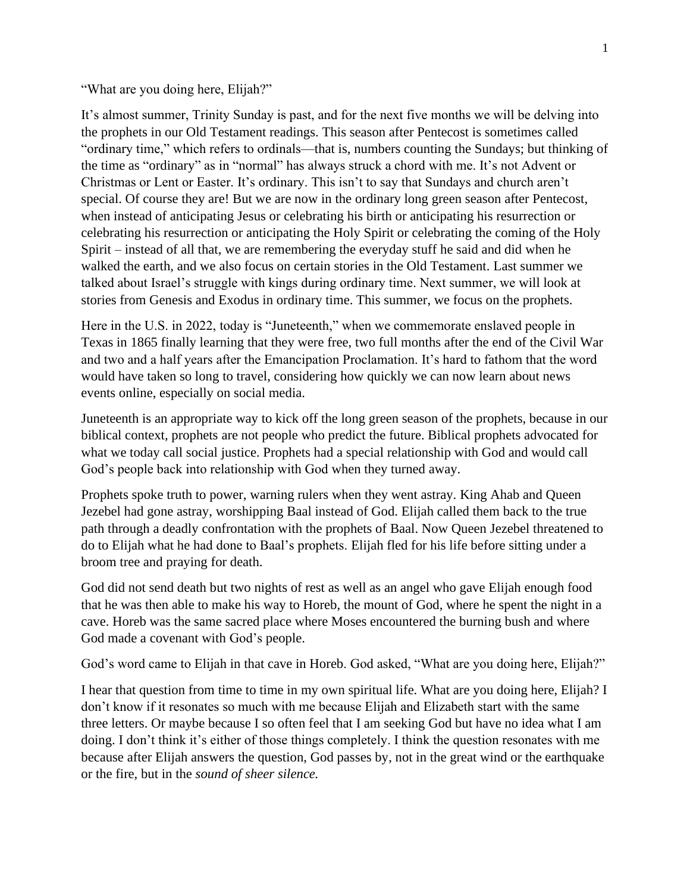"What are you doing here, Elijah?"

It's almost summer, Trinity Sunday is past, and for the next five months we will be delving into the prophets in our Old Testament readings. This season after Pentecost is sometimes called "ordinary time," which refers to ordinals—that is, numbers counting the Sundays; but thinking of the time as "ordinary" as in "normal" has always struck a chord with me. It's not Advent or Christmas or Lent or Easter. It's ordinary. This isn't to say that Sundays and church aren't special. Of course they are! But we are now in the ordinary long green season after Pentecost, when instead of anticipating Jesus or celebrating his birth or anticipating his resurrection or celebrating his resurrection or anticipating the Holy Spirit or celebrating the coming of the Holy Spirit – instead of all that, we are remembering the everyday stuff he said and did when he walked the earth, and we also focus on certain stories in the Old Testament. Last summer we talked about Israel's struggle with kings during ordinary time. Next summer, we will look at stories from Genesis and Exodus in ordinary time. This summer, we focus on the prophets.

Here in the U.S. in 2022, today is "Juneteenth," when we commemorate enslaved people in Texas in 1865 finally learning that they were free, two full months after the end of the Civil War and two and a half years after the Emancipation Proclamation. It's hard to fathom that the word would have taken so long to travel, considering how quickly we can now learn about news events online, especially on social media.

Juneteenth is an appropriate way to kick off the long green season of the prophets, because in our biblical context, prophets are not people who predict the future. Biblical prophets advocated for what we today call social justice. Prophets had a special relationship with God and would call God's people back into relationship with God when they turned away.

Prophets spoke truth to power, warning rulers when they went astray. King Ahab and Queen Jezebel had gone astray, worshipping Baal instead of God. Elijah called them back to the true path through a deadly confrontation with the prophets of Baal. Now Queen Jezebel threatened to do to Elijah what he had done to Baal's prophets. Elijah fled for his life before sitting under a broom tree and praying for death.

God did not send death but two nights of rest as well as an angel who gave Elijah enough food that he was then able to make his way to Horeb, the mount of God, where he spent the night in a cave. Horeb was the same sacred place where Moses encountered the burning bush and where God made a covenant with God's people.

God's word came to Elijah in that cave in Horeb. God asked, "What are you doing here, Elijah?"

I hear that question from time to time in my own spiritual life. What are you doing here, Elijah? I don't know if it resonates so much with me because Elijah and Elizabeth start with the same three letters. Or maybe because I so often feel that I am seeking God but have no idea what I am doing. I don't think it's either of those things completely. I think the question resonates with me because after Elijah answers the question, God passes by, not in the great wind or the earthquake or the fire, but in the *sound of sheer silence.*